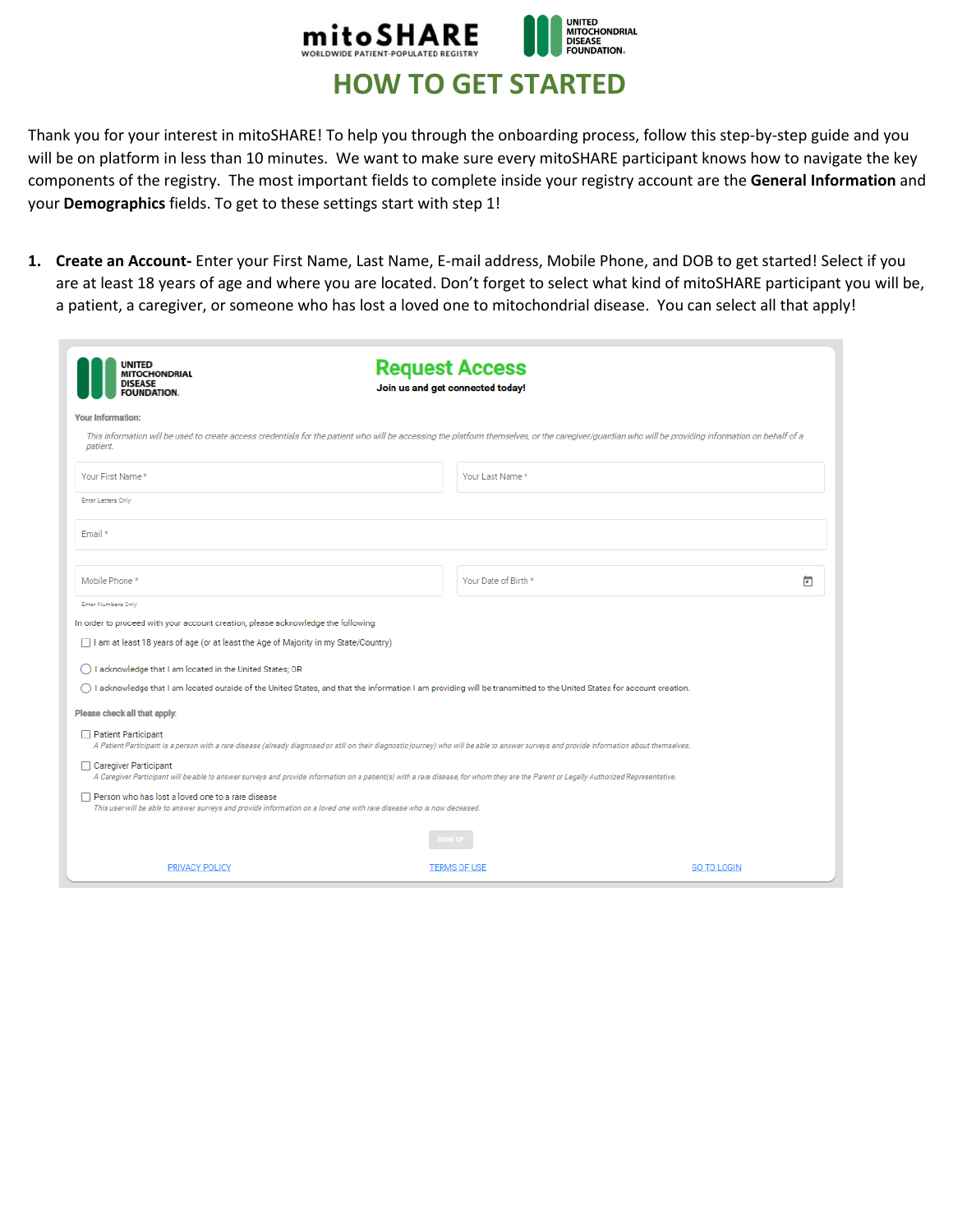

## **HOW TO GET STARTED**

Thank you for your interest in mitoSHARE! To help you through the onboarding process, follow this step-by-step guide and you will be on platform in less than 10 minutes. We want to make sure every mitoSHARE participant knows how to navigate the key components of the registry. The most important fields to complete inside your registry account are the **General Information** and your **Demographics** fields. To get to these settings start with step 1!

**1. Create an Account-** Enter your First Name, Last Name, E-mail address, Mobile Phone, and DOB to get started! Select if you are at least 18 years of age and where you are located. Don't forget to select what kind of mitoSHARE participant you will be, a patient, a caregiver, or someone who has lost a loved one to mitochondrial disease. You can select all that apply!

| <b>UNITED</b><br><b>MITOCHONDRIAL</b><br><b>DISEASE</b><br><b>FOUNDATION.</b>                                                                                                                                      | <b>Request Access</b><br>Join us and get connected today! |  |  |  |
|--------------------------------------------------------------------------------------------------------------------------------------------------------------------------------------------------------------------|-----------------------------------------------------------|--|--|--|
| <b>Your Information:</b>                                                                                                                                                                                           |                                                           |  |  |  |
| This information will be used to create access credentials for the patient who will be accessing the platform themselves, or the caregiver/guardian who will be providing information on behalf of a<br>patient.   |                                                           |  |  |  |
| Your First Name*                                                                                                                                                                                                   | Your Last Name *                                          |  |  |  |
| <b>Enter Letters Only</b>                                                                                                                                                                                          |                                                           |  |  |  |
| Email *                                                                                                                                                                                                            |                                                           |  |  |  |
| Mobile Phone *                                                                                                                                                                                                     | Your Date of Birth *<br>茴                                 |  |  |  |
| Enter Numbers Only                                                                                                                                                                                                 |                                                           |  |  |  |
| In order to proceed with your account creation, please acknowledge the following:                                                                                                                                  |                                                           |  |  |  |
| □ I am at least 18 years of age (or at least the Age of Majority in my State/Country)                                                                                                                              |                                                           |  |  |  |
| I acknowledge that I am located in the United States; OR                                                                                                                                                           |                                                           |  |  |  |
| I acknowledge that I am located outside of the United States, and that the information I am providing will be transmitted to the United States for account creation.                                               |                                                           |  |  |  |
| Please check all that apply:                                                                                                                                                                                       |                                                           |  |  |  |
| Patient Participant<br>A Patient Participant is a person with a rare disease (already diagnosed or still on their diagnostic journey) who will be able to answer surveys and provide information about themselves. |                                                           |  |  |  |
| □ Caregiver Participant<br>A Caregiver Participant will be able to answer surveys and provide information on a patient(s) with a rare disease, for whom they are the Parent or Legally Authorized Representative.  |                                                           |  |  |  |
| Person who has lost a loved one to a rare disease<br>This user will be able to answer surveys and provide information on a loved one with rare disease who is now deceased.                                        |                                                           |  |  |  |
|                                                                                                                                                                                                                    | <b>IGN UF</b>                                             |  |  |  |
| <b>PRIVACY POLICY</b>                                                                                                                                                                                              | <b>GO TO LOGIN</b><br><b>TERMS OF USE</b>                 |  |  |  |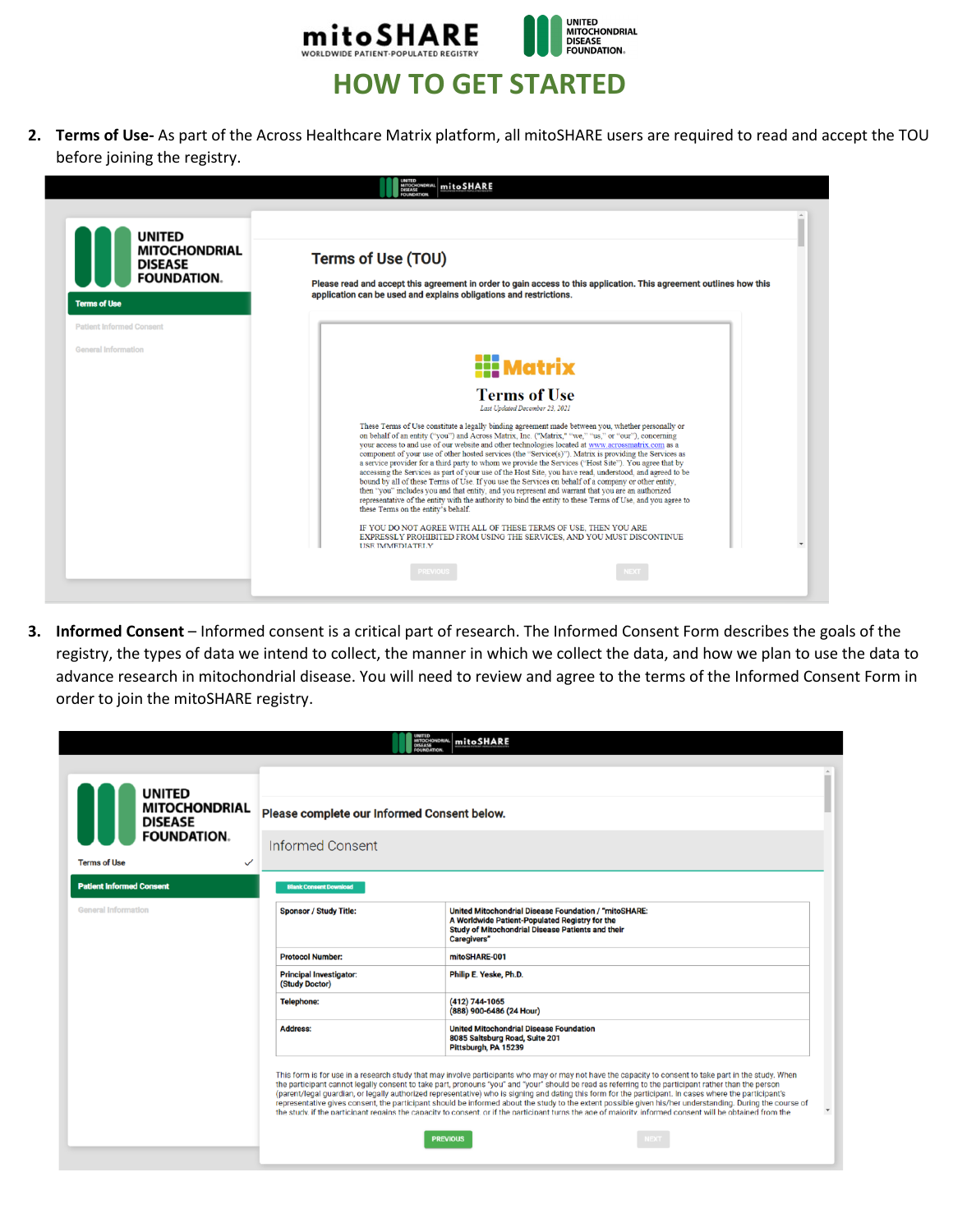

**2. Terms of Use-** As part of the Across Healthcare Matrix platform, all mitoSHARE users are required to read and accept the TOU before joining the registry.



**3. Informed Consent** – Informed consent is a critical part of research. The Informed Consent Form describes the goals of the registry, the types of data we intend to collect, the manner in which we collect the data, and how we plan to use the data to advance research in mitochondrial disease. You will need to review and agree to the terms of the Informed Consent Form in order to join the mitoSHARE registry.

|                                                              | UNITED<br>MITOCHONDRIAL<br>DISEASE<br><b>FOUNDATION</b>                                                                                                                                                                                                                                                                                                                                                                                                                                                                                                                                                                                                                                                                                                                                                                                                | mitoSHARE                                                                                                                                                                                 |  |  |
|--------------------------------------------------------------|--------------------------------------------------------------------------------------------------------------------------------------------------------------------------------------------------------------------------------------------------------------------------------------------------------------------------------------------------------------------------------------------------------------------------------------------------------------------------------------------------------------------------------------------------------------------------------------------------------------------------------------------------------------------------------------------------------------------------------------------------------------------------------------------------------------------------------------------------------|-------------------------------------------------------------------------------------------------------------------------------------------------------------------------------------------|--|--|
|                                                              |                                                                                                                                                                                                                                                                                                                                                                                                                                                                                                                                                                                                                                                                                                                                                                                                                                                        |                                                                                                                                                                                           |  |  |
| <b>UNITED</b>                                                |                                                                                                                                                                                                                                                                                                                                                                                                                                                                                                                                                                                                                                                                                                                                                                                                                                                        |                                                                                                                                                                                           |  |  |
| <b>MITOCHONDRIAL</b><br><b>DISEASE</b><br><b>FOUNDATION.</b> | Please complete our Informed Consent below.                                                                                                                                                                                                                                                                                                                                                                                                                                                                                                                                                                                                                                                                                                                                                                                                            |                                                                                                                                                                                           |  |  |
|                                                              | <b>Informed Consent</b>                                                                                                                                                                                                                                                                                                                                                                                                                                                                                                                                                                                                                                                                                                                                                                                                                                |                                                                                                                                                                                           |  |  |
| <b>Terms of Use</b><br>$\checkmark$                          |                                                                                                                                                                                                                                                                                                                                                                                                                                                                                                                                                                                                                                                                                                                                                                                                                                                        |                                                                                                                                                                                           |  |  |
| <b>Patient Informed Consent</b>                              | <b>Blank Consent Download</b>                                                                                                                                                                                                                                                                                                                                                                                                                                                                                                                                                                                                                                                                                                                                                                                                                          |                                                                                                                                                                                           |  |  |
| General Information                                          | <b>Sponsor / Study Title:</b>                                                                                                                                                                                                                                                                                                                                                                                                                                                                                                                                                                                                                                                                                                                                                                                                                          | <b>United Mitochondrial Disease Foundation / "mitoSHARE:</b><br>A Worldwide Patient-Populated Registry for the<br><b>Study of Mitochondrial Disease Patients and their</b><br>Caregivers" |  |  |
|                                                              | <b>Protocol Number:</b>                                                                                                                                                                                                                                                                                                                                                                                                                                                                                                                                                                                                                                                                                                                                                                                                                                | mitoSHARE-001                                                                                                                                                                             |  |  |
|                                                              | <b>Principal Investigator:</b><br>(Study Doctor)                                                                                                                                                                                                                                                                                                                                                                                                                                                                                                                                                                                                                                                                                                                                                                                                       | Philip E. Yeske, Ph.D.                                                                                                                                                                    |  |  |
|                                                              | <b>Telephone:</b>                                                                                                                                                                                                                                                                                                                                                                                                                                                                                                                                                                                                                                                                                                                                                                                                                                      | (412) 744-1065<br>(888) 900-6486 (24 Hour)                                                                                                                                                |  |  |
|                                                              | <b>Address:</b>                                                                                                                                                                                                                                                                                                                                                                                                                                                                                                                                                                                                                                                                                                                                                                                                                                        | <b>United Mitochondrial Disease Foundation</b><br>8085 Saltsburg Road, Suite 201<br>Pittsburgh, PA 15239                                                                                  |  |  |
|                                                              | This form is for use in a research study that may involve participants who may or may not have the capacity to consent to take part in the study. When<br>the participant cannot legally consent to take part, pronouns "you" and "your" should be read as referring to the participant rather than the person<br>(parent/legal guardian, or legally authorized representative) who is signing and dating this form for the participant. In cases where the participant's<br>representative gives consent, the participant should be informed about the study to the extent possible given his/her understanding. During the course of<br>$\mathbf{v}$<br>the study, if the participant regains the capacity to consent, or if the participant turns the age of majority, informed consent will be obtained from the<br><b>PREVIOUS</b><br><b>IEXT</b> |                                                                                                                                                                                           |  |  |
|                                                              |                                                                                                                                                                                                                                                                                                                                                                                                                                                                                                                                                                                                                                                                                                                                                                                                                                                        |                                                                                                                                                                                           |  |  |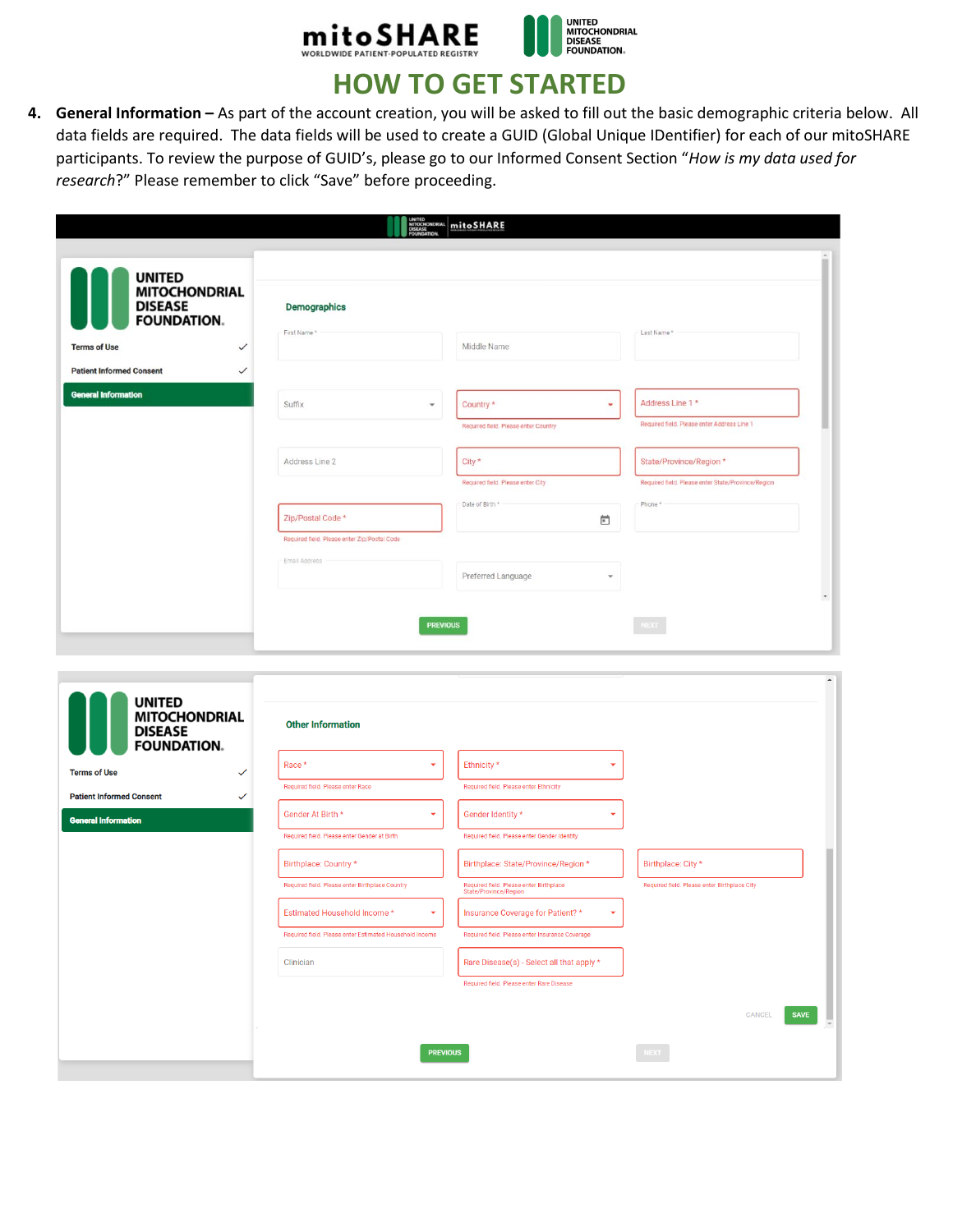



## **HOW TO GET STARTED**

**4. General Information –** As part of the account creation, you will be asked to fill out the basic demographic criteria below. All data fields are required. The data fields will be used to create a GUID (Global Unique IDentifier) for each of our mitoSHARE participants. To review the purpose of GUID's, please go to our Informed Consent Section "*How is my data used for research*?" Please remember to click "Save" before proceeding.

|                                                                               |                                                         | mitoSHARE                                                        |                                                    |
|-------------------------------------------------------------------------------|---------------------------------------------------------|------------------------------------------------------------------|----------------------------------------------------|
| <b>UNITED</b>                                                                 |                                                         |                                                                  |                                                    |
| <b>MITOCHONDRIAL</b><br><b>DISEASE</b><br><b>FOUNDATION.</b>                  | <b>Demographics</b>                                     |                                                                  |                                                    |
| <b>Terms of Use</b><br>$\checkmark$                                           | First Name *                                            | Middle Name                                                      | Last Name*                                         |
| <b>Patient Informed Consent</b><br>$\checkmark$                               |                                                         |                                                                  |                                                    |
| <b>General Information</b>                                                    |                                                         |                                                                  |                                                    |
|                                                                               | Suffix<br>٠                                             | Country *<br>٠                                                   | Address Line 1 *                                   |
|                                                                               |                                                         | Required field. Please enter Country                             | Required field. Please enter Address Line 1        |
|                                                                               | Address Line 2                                          | City *                                                           | State/Province/Region *                            |
|                                                                               |                                                         | Required field. Please enter City                                | Required field. Please enter State/Province/Region |
|                                                                               |                                                         | Date of Birth *                                                  | Phone *                                            |
|                                                                               | Zip/Postal Code *                                       | ö                                                                |                                                    |
|                                                                               | Required field. Please enter Zip/Postal Code            |                                                                  |                                                    |
|                                                                               | Email Address                                           | Preferred Language<br>٠                                          |                                                    |
|                                                                               |                                                         |                                                                  | $\check{\phantom{a}}$                              |
|                                                                               |                                                         |                                                                  |                                                    |
|                                                                               | <b>PREVIOUS</b>                                         |                                                                  | <b>NEXT</b>                                        |
|                                                                               |                                                         |                                                                  |                                                    |
|                                                                               |                                                         |                                                                  | $\blacktriangle$                                   |
| <b>UNITED</b><br><b>MITOCHONDRIAL</b><br><b>DISEASE</b><br><b>FOUNDATION.</b> | <b>Other Information</b>                                |                                                                  |                                                    |
| <b>Terms of Use</b>                                                           | Race *<br>٠                                             | Ethnicity *                                                      |                                                    |
| <b>Patient Informed Consent</b>                                               | Required field. Please enter Race                       | Required field. Please enter Ethnicity                           |                                                    |
| <b>General Information</b>                                                    | Gender At Birth *<br>٠                                  | Gender Identity *<br>٠                                           |                                                    |
|                                                                               | Required field. Please enter Gender at Birth            | Required field. Please enter Gender Identity                     |                                                    |
|                                                                               | Birthplace: Country *                                   | Birthplace: State/Province/Region *                              | Birthplace: City *                                 |
|                                                                               | Required field. Please enter Birthplace Country         | Required field. Please enter Birthplace<br>State/Province/Region | Required field. Please enter Birthplace City       |
|                                                                               | <b>Estimated Household Income</b>                       | Insurance Coverage for Patient? *                                |                                                    |
|                                                                               | Required field. Please enter Estimated Household Income | Required field. Please enter Insurance Coverage                  |                                                    |
|                                                                               | Clinician                                               | Rare Disease(s) - Select all that apply *                        |                                                    |
|                                                                               |                                                         | Required field. Please enter Rare Disease                        |                                                    |
|                                                                               |                                                         |                                                                  | <b>SAVE</b><br>CANCEL                              |
|                                                                               |                                                         |                                                                  |                                                    |
|                                                                               | <b>PREVIOUS</b>                                         |                                                                  |                                                    |
|                                                                               |                                                         |                                                                  |                                                    |